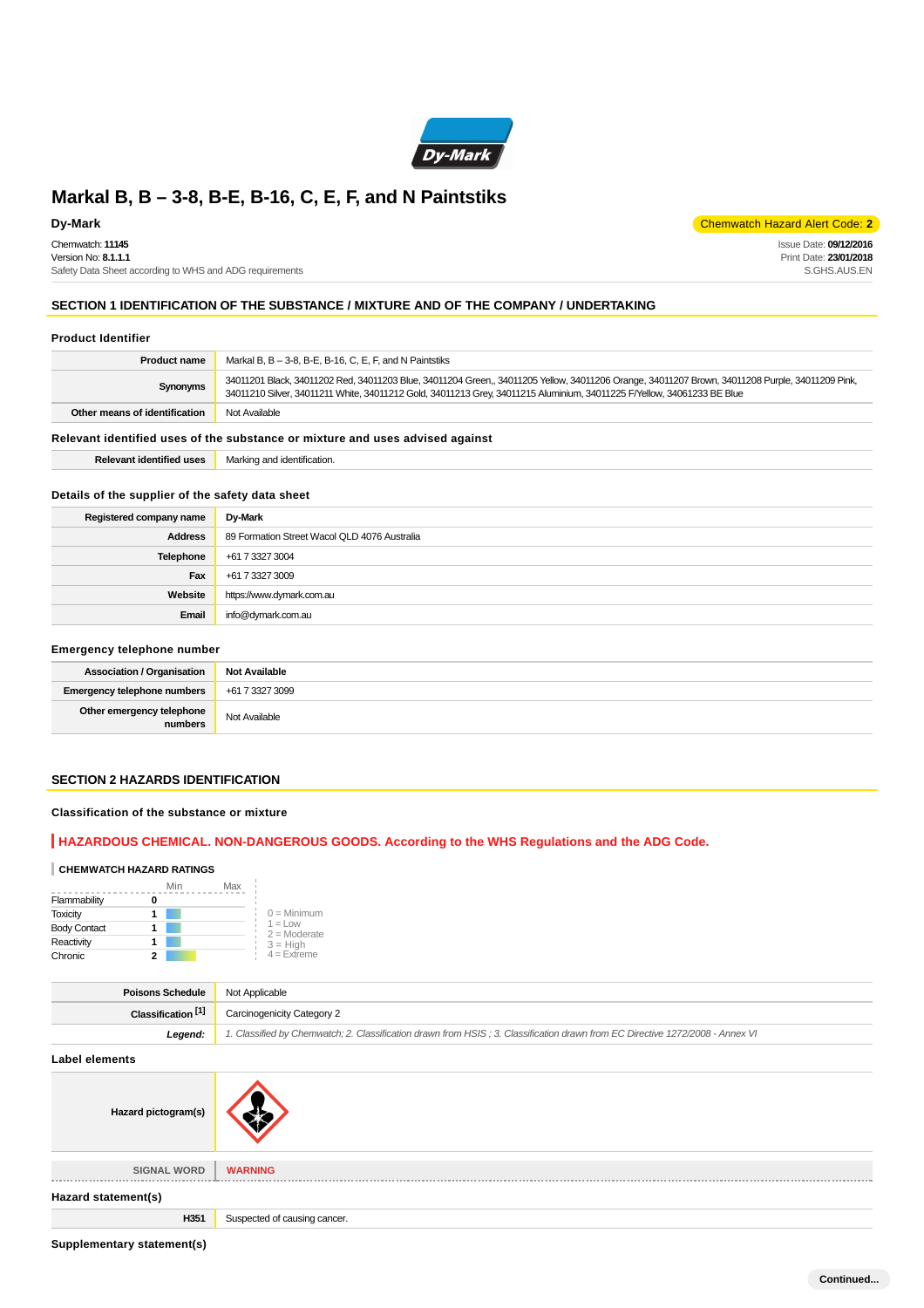

Chemwatch: **11145** Version No: **8.1.1.1** Safety Data Sheet according to WHS and ADG requirements

**Dy-Mark** Chemwatch Hazard Alert Code: **2** 

Issue Date: **09/12/2016** Print Date: **23/01/2018** S.GHS.AUS.EN

# **SECTION 1 IDENTIFICATION OF THE SUBSTANCE / MIXTURE AND OF THE COMPANY / UNDERTAKING**

#### **Product Identifier**

| <b>Product name</b>                                                           | Markal B, $B - 3-8$ , B-E, B-16, C, E, F, and N Paintstiks                                                                                                                                                                                                                |
|-------------------------------------------------------------------------------|---------------------------------------------------------------------------------------------------------------------------------------------------------------------------------------------------------------------------------------------------------------------------|
| Synonyms                                                                      | 34011201 Black, 34011202 Red, 34011203 Blue, 34011204 Green,, 34011205 Yellow, 34011206 Orange, 34011207 Brown, 34011208 Purple, 34011209 Pink,<br>34011210 Silver, 34011211 White, 34011212 Gold, 34011213 Grey, 34011215 Aluminium, 34011225 F/Yellow, 34061233 BE Blue |
| Other means of identification                                                 | Not Available                                                                                                                                                                                                                                                             |
| Relevant identified uses of the substance or mixture and uses advised against |                                                                                                                                                                                                                                                                           |

**Relevant identified uses** Marking and identification.

### **Details of the supplier of the safety data sheet**

| Registered company name | Dy-Mark                                      |
|-------------------------|----------------------------------------------|
| <b>Address</b>          | 89 Formation Street Wacol QLD 4076 Australia |
| Telephone               | +61 7 3327 3004                              |
| Fax                     | +61 7 3327 3009                              |
| Website                 | https://www.dymark.com.au                    |
| Email                   | info@dymark.com.au                           |

#### **Emergency telephone number**

| <b>Association / Organisation</b>    | Not Available   |
|--------------------------------------|-----------------|
| Emergency telephone numbers          | +61 7 3327 3099 |
| Other emergency telephone<br>numbers | Not Available   |

### **SECTION 2 HAZARDS IDENTIFICATION**

### **Classification of the substance or mixture**

# **HAZARDOUS CHEMICAL. NON-DANGEROUS GOODS. According to the WHS Regulations and the ADG Code.**

### **CHEMWATCH HAZARD RATINGS**

|                     | Min | Max                          |  |
|---------------------|-----|------------------------------|--|
| Flammability        |     |                              |  |
| <b>Toxicity</b>     |     | $0 =$ Minimum                |  |
| <b>Body Contact</b> |     | $1 = 1$ OW<br>$2 =$ Moderate |  |
| Reactivity          |     | $3 = High$                   |  |
| Chronic             | 2   | $4 =$ Extreme                |  |

| <b>Poisons Schedule</b> Not Applicable |                                                                                                                               |
|----------------------------------------|-------------------------------------------------------------------------------------------------------------------------------|
|                                        | <b>Classification</b> <sup>[1]</sup> Carcinogenicity Category 2                                                               |
| Leaend:                                | 1. Classified by Chemwatch; 2. Classification drawn from HSIS; 3. Classification drawn from EC Directive 1272/2008 - Annex VI |

**Label elements**

| Hazard pictogram(s)     |                              |
|-------------------------|------------------------------|
| <b>SIGNAL WORD</b><br>. | <b>WARNING</b>               |
| Hazard statement(s)     |                              |
| H351                    | Suspected of causing cancer. |

**Supplementary statement(s)**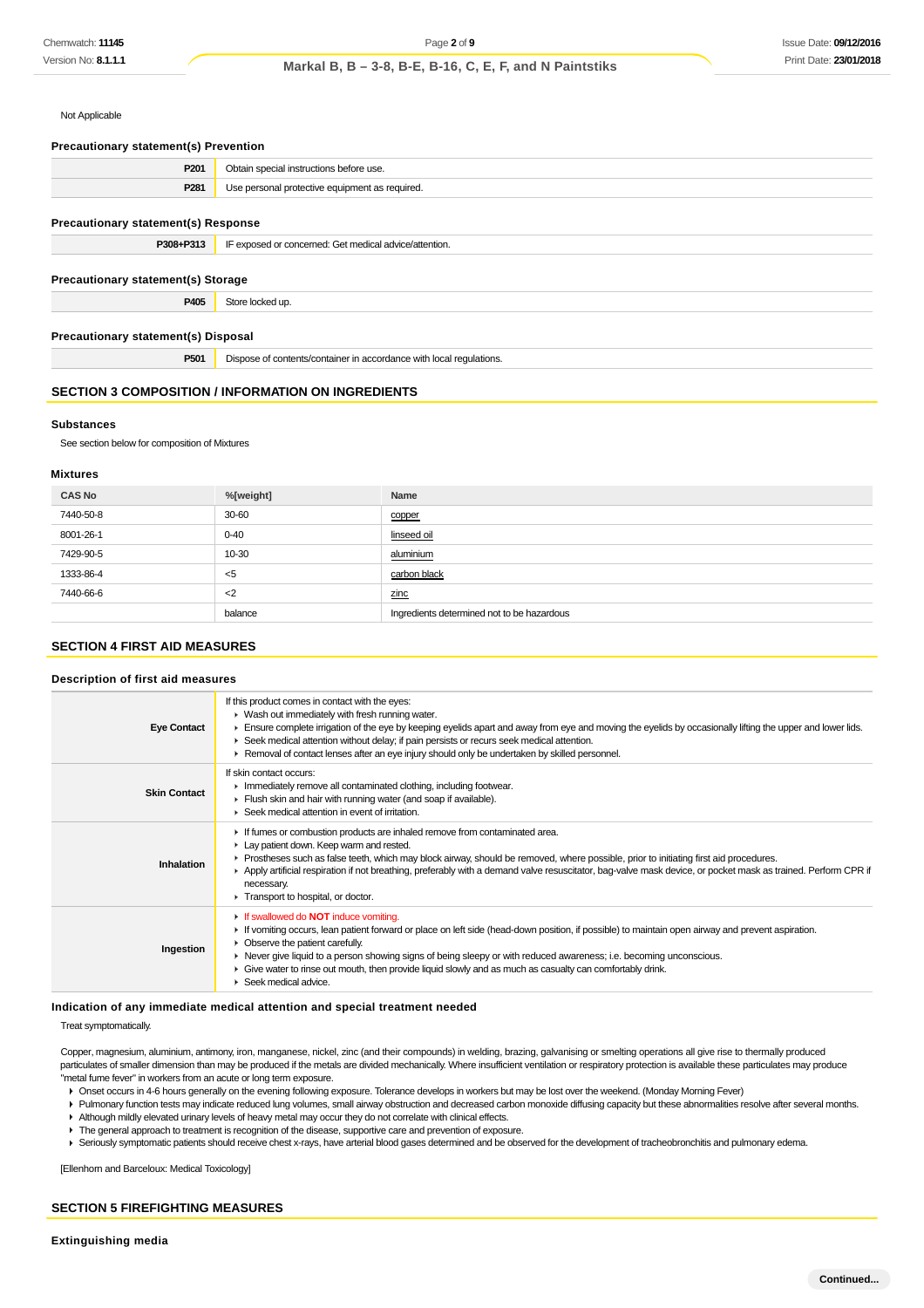Not Applicable

| <b>Precautionary statement(s) Prevention</b>              |                                                                     |  |
|-----------------------------------------------------------|---------------------------------------------------------------------|--|
| P <sub>201</sub>                                          | Obtain special instructions before use.                             |  |
| P281                                                      | Use personal protective equipment as required.                      |  |
| <b>Precautionary statement(s) Response</b>                |                                                                     |  |
| P308+P313                                                 | IF exposed or concerned: Get medical advice/attention.              |  |
| <b>Precautionary statement(s) Storage</b>                 |                                                                     |  |
| P405                                                      | Store locked up.                                                    |  |
| Precautionary statement(s) Disposal                       |                                                                     |  |
| P501                                                      | Dispose of contents/container in accordance with local regulations. |  |
| <b>SECTION 3 COMPOSITION / INFORMATION ON INGREDIENTS</b> |                                                                     |  |

#### **Substances**

See section below for composition of Mixtures

#### **Mixtures**

| <b>CAS No</b> | %[weight] | Name                                       |
|---------------|-----------|--------------------------------------------|
| 7440-50-8     | 30-60     | copper                                     |
| 8001-26-1     | $0 - 40$  | linseed oil                                |
| 7429-90-5     | 10-30     | aluminium                                  |
| 1333-86-4     | $5$       | carbon black                               |
| 7440-66-6     | $<$ 2     | zinc                                       |
|               | balance   | Ingredients determined not to be hazardous |

# **SECTION 4 FIRST AID MEASURES**

#### **Description of first aid measures**

| <b>Eye Contact</b>  | If this product comes in contact with the eyes:<br>▶ Wash out immediately with fresh running water.<br>Ensure complete irrigation of the eye by keeping eyelids apart and away from eye and moving the eyelids by occasionally lifting the upper and lower lids.<br>► Seek medical attention without delay; if pain persists or recurs seek medical attention.<br>► Removal of contact lenses after an eye injury should only be undertaken by skilled personnel.                                                                         |
|---------------------|-------------------------------------------------------------------------------------------------------------------------------------------------------------------------------------------------------------------------------------------------------------------------------------------------------------------------------------------------------------------------------------------------------------------------------------------------------------------------------------------------------------------------------------------|
| <b>Skin Contact</b> | If skin contact occurs:<br>Inmediately remove all contaminated clothing, including footwear.<br>Flush skin and hair with running water (and soap if available).<br>▶ Seek medical attention in event of irritation.                                                                                                                                                                                                                                                                                                                       |
| Inhalation          | If fumes or combustion products are inhaled remove from contaminated area.<br>Lay patient down. Keep warm and rested.<br>► Prostheses such as false teeth, which may block airway, should be removed, where possible, prior to initiating first aid procedures.<br>Apply artificial respiration if not breathing, preferably with a demand valve resuscitator, bag-valve mask device, or pocket mask as trained. Perform CPR if<br>necessary.<br>Transport to hospital, or doctor.                                                        |
| Ingestion           | $\triangleright$ If swallowed do <b>NOT</b> induce vomiting.<br>► If vomiting occurs, lean patient forward or place on left side (head-down position, if possible) to maintain open airway and prevent aspiration.<br>• Observe the patient carefully.<br>► Never give liquid to a person showing signs of being sleepy or with reduced awareness; i.e. becoming unconscious.<br>• Give water to rinse out mouth, then provide liquid slowly and as much as casualty can comfortably drink.<br>$\blacktriangleright$ Seek medical advice. |

#### **Indication of any immediate medical attention and special treatment needed**

Treat symptomatically.

Copper, magnesium, aluminium, antimony, iron, manganese, nickel, zinc (and their compounds) in welding, brazing, galvanising or smelting operations all give rise to thermally produced particulates of smaller dimension than may be produced if the metals are divided mechanically. Where insufficient ventilation or respiratory protection is available these particulates may produce "metal fume fever" in workers from an acute or long term exposure.

Onset occurs in 4-6 hours generally on the evening following exposure. Tolerance develops in workers but may be lost over the weekend. (Monday Morning Fever)

Pulmonary function tests may indicate reduced lung volumes, small airway obstruction and decreased carbon monoxide diffusing capacity but these abnormalities resolve after several months. Although mildly elevated urinary levels of heavy metal may occur they do not correlate with clinical effects.

The general approach to treatment is recognition of the disease, supportive care and prevention of exposure.

Seriously symptomatic patients should receive chest x-rays, have arterial blood gases determined and be observed for the development of tracheobronchitis and pulmonary edema.

[Ellenhorn and Barceloux: Medical Toxicology]

### **SECTION 5 FIREFIGHTING MEASURES**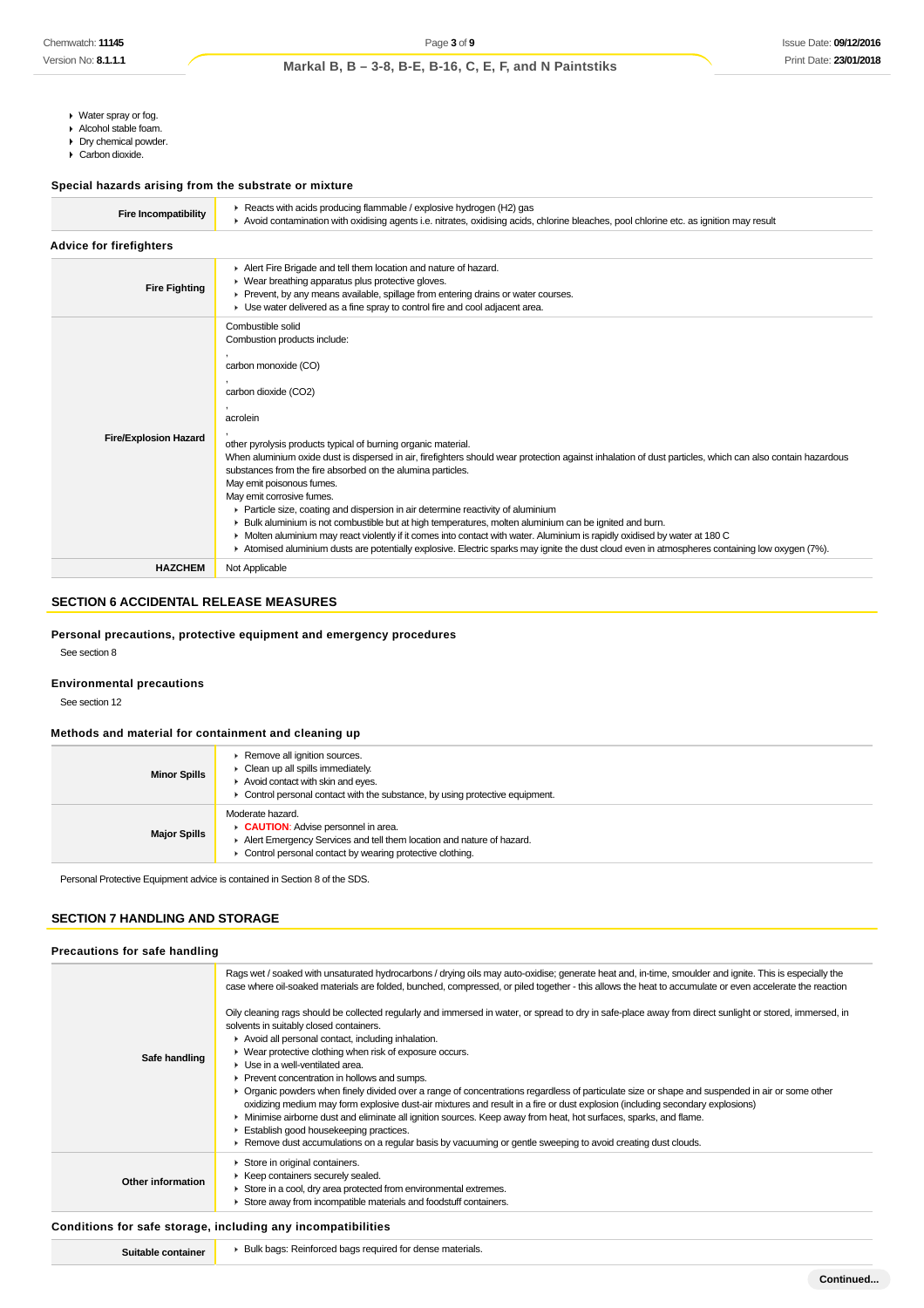- Water spray or fog.
- Alcohol stable foam.
- **Dry chemical powder.** Carbon dioxide.

### **Special hazards arising from the substrate or mixture**

| <b>Fire Incompatibility</b>    | ▶ Reacts with acids producing flammable / explosive hydrogen (H2) gas<br>Avoid contamination with oxidising agents i.e. nitrates, oxidising acids, chlorine bleaches, pool chlorine etc. as ignition may result                                                                                                                                                                                                                                                                                                                                                                                                                                                                                                                                                                                                                                                                                                                                     |  |  |
|--------------------------------|-----------------------------------------------------------------------------------------------------------------------------------------------------------------------------------------------------------------------------------------------------------------------------------------------------------------------------------------------------------------------------------------------------------------------------------------------------------------------------------------------------------------------------------------------------------------------------------------------------------------------------------------------------------------------------------------------------------------------------------------------------------------------------------------------------------------------------------------------------------------------------------------------------------------------------------------------------|--|--|
| <b>Advice for firefighters</b> |                                                                                                                                                                                                                                                                                                                                                                                                                                                                                                                                                                                                                                                                                                                                                                                                                                                                                                                                                     |  |  |
| <b>Fire Fighting</b>           | Alert Fire Brigade and tell them location and nature of hazard.<br>• Wear breathing apparatus plus protective gloves.<br>▶ Prevent, by any means available, spillage from entering drains or water courses.<br>• Use water delivered as a fine spray to control fire and cool adjacent area.                                                                                                                                                                                                                                                                                                                                                                                                                                                                                                                                                                                                                                                        |  |  |
| <b>Fire/Explosion Hazard</b>   | Combustible solid<br>Combustion products include:<br>carbon monoxide (CO)<br>carbon dioxide (CO2)<br>acrolein<br>other pyrolysis products typical of burning organic material.<br>When aluminium oxide dust is dispersed in air, firefighters should wear protection against inhalation of dust particles, which can also contain hazardous<br>substances from the fire absorbed on the alumina particles.<br>May emit poisonous fumes.<br>May emit corrosive fumes.<br>► Particle size, coating and dispersion in air determine reactivity of aluminium<br>▶ Bulk aluminium is not combustible but at high temperatures, molten aluminium can be ignited and burn.<br>• Molten aluminium may react violently if it comes into contact with water. Aluminium is rapidly oxidised by water at 180 C<br>Atomised aluminium dusts are potentially explosive. Electric sparks may ignite the dust cloud even in atmospheres containing low oxygen (7%). |  |  |
| <b>HAZCHEM</b>                 | Not Applicable                                                                                                                                                                                                                                                                                                                                                                                                                                                                                                                                                                                                                                                                                                                                                                                                                                                                                                                                      |  |  |
|                                |                                                                                                                                                                                                                                                                                                                                                                                                                                                                                                                                                                                                                                                                                                                                                                                                                                                                                                                                                     |  |  |

# **SECTION 6 ACCIDENTAL RELEASE MEASURES**

# **Personal precautions, protective equipment and emergency procedures**

See section 8

#### **Environmental precautions**

See section 12

### **Methods and material for containment and cleaning up**

| <b>Minor Spills</b> | Remove all ignition sources.<br>Clean up all spills immediately.<br>Avoid contact with skin and eyes.<br>Control personal contact with the substance, by using protective equipment.        |
|---------------------|---------------------------------------------------------------------------------------------------------------------------------------------------------------------------------------------|
| <b>Major Spills</b> | Moderate hazard.<br>CAUTION: Advise personnel in area.<br>Alert Emergency Services and tell them location and nature of hazard.<br>Control personal contact by wearing protective clothing. |

Personal Protective Equipment advice is contained in Section 8 of the SDS.

# **SECTION 7 HANDLING AND STORAGE**

| Precautions for safe handling |                                                                                                                                                                                                                                                                                                                                                                                                                                                                                                                                                                                                                                                                                                                                                                                                                                                                                                                                                                                                                                                                                                                                                                                                                                                                                                    |  |
|-------------------------------|----------------------------------------------------------------------------------------------------------------------------------------------------------------------------------------------------------------------------------------------------------------------------------------------------------------------------------------------------------------------------------------------------------------------------------------------------------------------------------------------------------------------------------------------------------------------------------------------------------------------------------------------------------------------------------------------------------------------------------------------------------------------------------------------------------------------------------------------------------------------------------------------------------------------------------------------------------------------------------------------------------------------------------------------------------------------------------------------------------------------------------------------------------------------------------------------------------------------------------------------------------------------------------------------------|--|
| Safe handling                 | Rags wet / soaked with unsaturated hydrocarbons / drying oils may auto-oxidise; generate heat and, in-time, smoulder and ignite. This is especially the<br>case where oil-soaked materials are folded, bunched, compressed, or piled together - this allows the heat to accumulate or even accelerate the reaction<br>Oily cleaning rags should be collected regularly and immersed in water, or spread to dry in safe-place away from direct sunlight or stored, immersed, in<br>solvents in suitably closed containers.<br>Avoid all personal contact, including inhalation.<br>▶ Wear protective clothing when risk of exposure occurs.<br>• Use in a well-ventilated area.<br>Prevent concentration in hollows and sumps.<br>▶ Organic powders when finely divided over a range of concentrations regardless of particulate size or shape and suspended in air or some other<br>oxidizing medium may form explosive dust-air mixtures and result in a fire or dust explosion (including secondary explosions)<br>• Minimise airborne dust and eliminate all ignition sources. Keep away from heat, hot surfaces, sparks, and flame.<br>Establish good housekeeping practices.<br>► Remove dust accumulations on a regular basis by vacuuming or gentle sweeping to avoid creating dust clouds. |  |
| Other information             | Store in original containers.<br>▶ Keep containers securely sealed.<br>Store in a cool, dry area protected from environmental extremes.<br>Store away from incompatible materials and foodstuff containers.                                                                                                                                                                                                                                                                                                                                                                                                                                                                                                                                                                                                                                                                                                                                                                                                                                                                                                                                                                                                                                                                                        |  |

# **Conditions for safe storage, including any incompatibilities**

| Suitable container | ▶ Bulk bags: Reinforced bags required for dense materials. |
|--------------------|------------------------------------------------------------|
|--------------------|------------------------------------------------------------|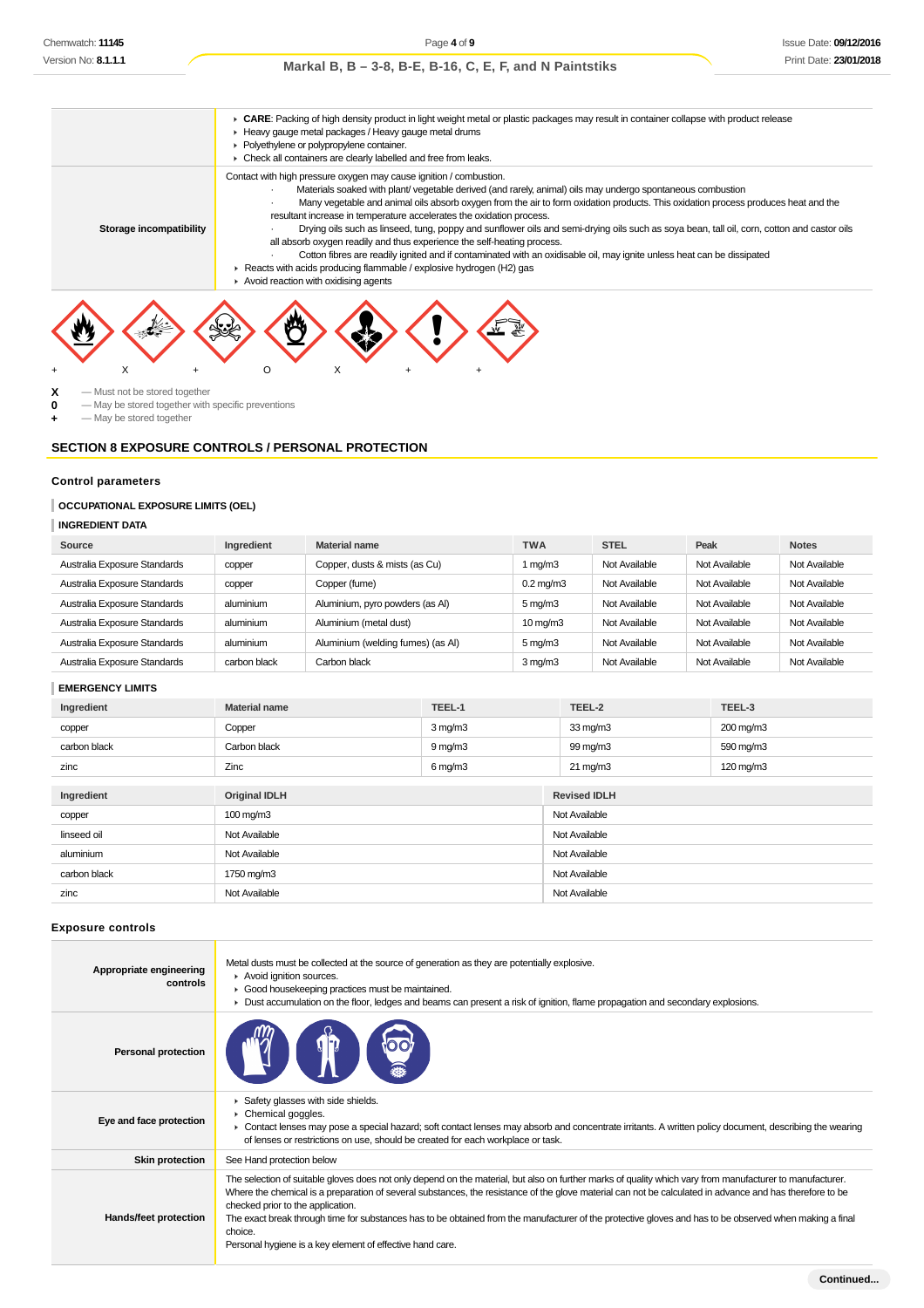# **► CARE: Packing of high density product in light weight metal or plastic packages may result in container collapse with product release** Heavy gauge metal packages / Heavy gauge metal drums **Polyethylene or polypropylene container.**  $\triangleright$  Check all containers are clearly labelled and free from leaks. **Storage incompatibility** Contact with high pressure oxygen may cause ignition / combustion. · Materials soaked with plant/ vegetable derived (and rarely, animal) oils may undergo spontaneous combustion · Many vegetable and animal oils absorb oxygen from the air to form oxidation products. This oxidation process produces heat and the resultant increase in temperature accelerates the oxidation process. · Drying oils such as linseed, tung, poppy and sunflower oils and semi-drying oils such as soya bean, tall oil, corn, cotton and castor oils all absorb oxygen readily and thus experience the self-heating process. · Cotton fibres are readily ignited and if contaminated with an oxidisable oil, may ignite unless heat can be dissipated ▶ Reacts with acids producing flammable / explosive hydrogen (H2) gas Avoid reaction with oxidising agents

 $\begin{array}{ccc} \mathbf{X} & -$  Must not be stored together<br>  $\mathbf{0} & -$  May be stored together with

**0** — May be stored together with specific preventions

**+** — May be stored together

### **SECTION 8 EXPOSURE CONTROLS / PERSONAL PROTECTION**

+ X + O X + +

# **Control parameters**

#### **OCCUPATIONAL EXPOSURE LIMITS (OEL)**

| <b>INGREDIENT DATA</b> |  |  |
|------------------------|--|--|
|------------------------|--|--|

| Source                       | Ingredient   | <b>Material name</b>              | <b>TWA</b>           | <b>STEL</b>   | Peak          | <b>Notes</b>  |
|------------------------------|--------------|-----------------------------------|----------------------|---------------|---------------|---------------|
| Australia Exposure Standards | copper       | Copper, dusts & mists (as Cu)     | 1 $mq/m3$            | Not Available | Not Available | Not Available |
| Australia Exposure Standards | copper       | Copper (fume)                     | $0.2 \text{ mg/m}$ 3 | Not Available | Not Available | Not Available |
| Australia Exposure Standards | aluminium    | Aluminium, pyro powders (as Al)   | $5 \,\mathrm{mg/m}$  | Not Available | Not Available | Not Available |
| Australia Exposure Standards | aluminium    | Aluminium (metal dust)            | $10 \text{ mg/m}$    | Not Available | Not Available | Not Available |
| Australia Exposure Standards | aluminium    | Aluminium (welding fumes) (as Al) | $5 \,\mathrm{mq/m}$  | Not Available | Not Available | Not Available |
| Australia Exposure Standards | carbon black | Carbon black                      | $3 \,\mathrm{mq/m}$  | Not Available | Not Available | Not Available |

#### **EMERGENCY LIMITS**

| Ingredient   | <b>Material name</b> | TEEL-1       | TEEL-2              | TEEL-3    |  |
|--------------|----------------------|--------------|---------------------|-----------|--|
| copper       | Copper               | $3$ mg/m $3$ | $33 \text{ mg/m}$   | 200 mg/m3 |  |
| carbon black | Carbon black         | $9$ mg/m $3$ | 99 mg/m3            | 590 mg/m3 |  |
| zinc         | Zinc                 | $6$ mg/m $3$ | $21 \text{ mg/m}$   | 120 mg/m3 |  |
|              |                      |              |                     |           |  |
| Ingredient   | <b>Original IDLH</b> |              | <b>Revised IDLH</b> |           |  |
| copper       | 100 mg/m3            |              | Not Available       |           |  |
| linseed oil  | Not Available        |              | Not Available       |           |  |
| aluminium    | Not Available        |              | Not Available       |           |  |
| carbon black | 1750 mg/m3           |              | Not Available       |           |  |
| zinc         | Not Available        |              | Not Available       |           |  |

#### **Exposure controls**

| Appropriate engineering<br>controls | Metal dusts must be collected at the source of generation as they are potentially explosive.<br>Avoid ignition sources.<br>Good housekeeping practices must be maintained.<br>► Dust accumulation on the floor, ledges and beams can present a risk of ignition, flame propagation and secondary explosions.                                                                                                                                                                                                                                                                                   |
|-------------------------------------|------------------------------------------------------------------------------------------------------------------------------------------------------------------------------------------------------------------------------------------------------------------------------------------------------------------------------------------------------------------------------------------------------------------------------------------------------------------------------------------------------------------------------------------------------------------------------------------------|
| <b>Personal protection</b>          |                                                                                                                                                                                                                                                                                                                                                                                                                                                                                                                                                                                                |
| Eye and face protection             | Safety glasses with side shields.<br>$\triangleright$ Chemical goggles.<br>• Contact lenses may pose a special hazard; soft contact lenses may absorb and concentrate irritants. A written policy document, describing the wearing<br>of lenses or restrictions on use, should be created for each workplace or task.                                                                                                                                                                                                                                                                          |
| <b>Skin protection</b>              | See Hand protection below                                                                                                                                                                                                                                                                                                                                                                                                                                                                                                                                                                      |
| Hands/feet protection               | The selection of suitable gloves does not only depend on the material, but also on further marks of quality which vary from manufacturer to manufacturer.<br>Where the chemical is a preparation of several substances, the resistance of the glove material can not be calculated in advance and has therefore to be<br>checked prior to the application.<br>The exact break through time for substances has to be obtained from the manufacturer of the protective gloves and has to be observed when making a final<br>choice.<br>Personal hygiene is a key element of effective hand care. |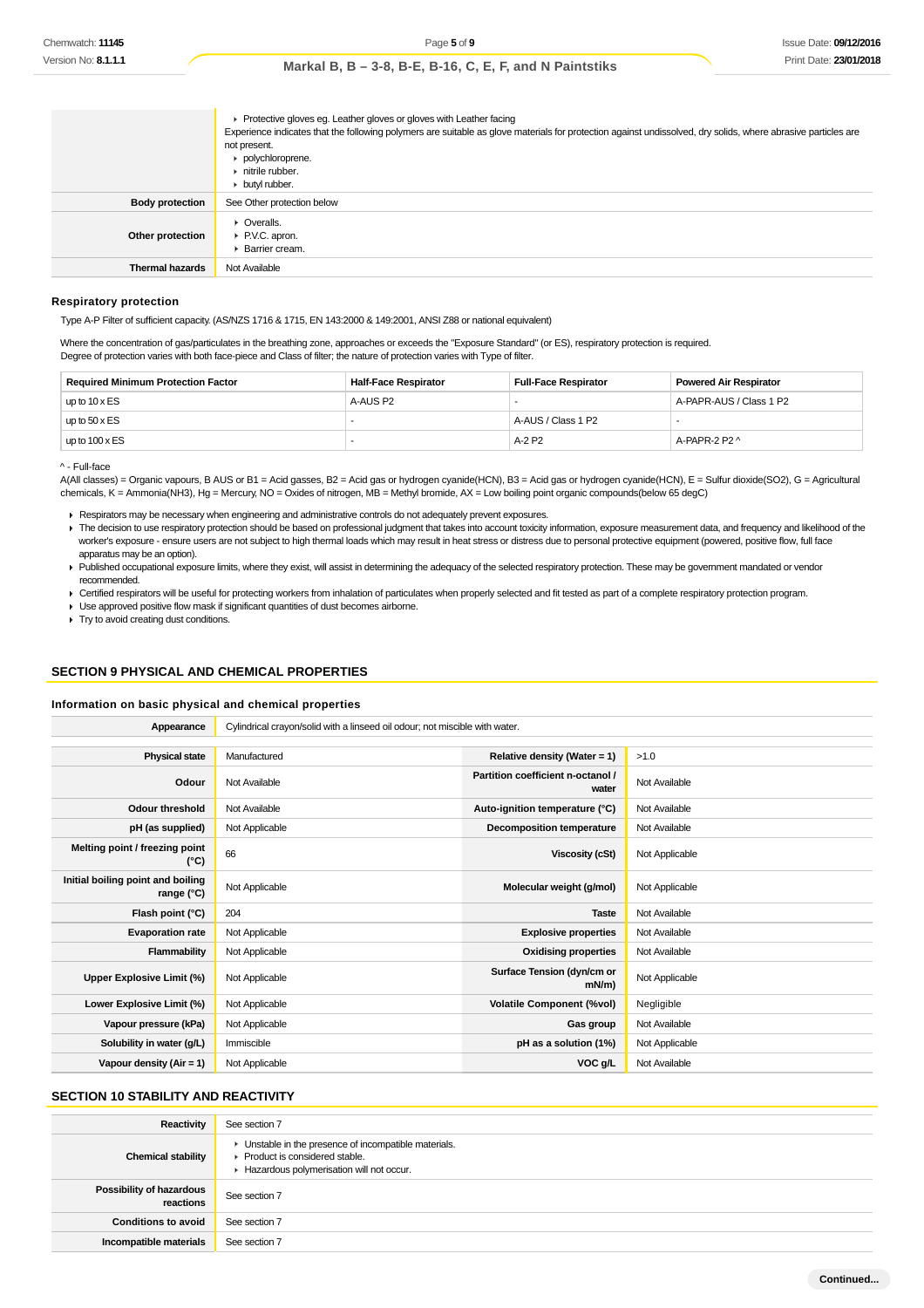|                        | ▶ Protective gloves eg. Leather gloves or gloves with Leather facing<br>Experience indicates that the following polymers are suitable as glove materials for protection against undissolved, dry solids, where abrasive particles are<br>not present.<br>polychloroprene.<br>$\triangleright$ nitrile rubber.<br>butyl rubber. |
|------------------------|--------------------------------------------------------------------------------------------------------------------------------------------------------------------------------------------------------------------------------------------------------------------------------------------------------------------------------|
| <b>Body protection</b> | See Other protection below                                                                                                                                                                                                                                                                                                     |
| Other protection       | $\triangleright$ Overalls.<br>▶ P.V.C. apron.<br><b>Barrier cream.</b>                                                                                                                                                                                                                                                         |
| <b>Thermal hazards</b> | Not Available                                                                                                                                                                                                                                                                                                                  |

#### **Respiratory protection**

Type A-P Filter of sufficient capacity. (AS/NZS 1716 & 1715, EN 143:2000 & 149:2001, ANSI Z88 or national equivalent)

Where the concentration of gas/particulates in the breathing zone, approaches or exceeds the "Exposure Standard" (or ES), respiratory protection is required. Degree of protection varies with both face-piece and Class of filter; the nature of protection varies with Type of filter.

| <b>Required Minimum Protection Factor</b> | <b>Half-Face Respirator</b> | <b>Full-Face Respirator</b> | <b>Powered Air Respirator</b> |
|-------------------------------------------|-----------------------------|-----------------------------|-------------------------------|
| up to $10 \times ES$                      | A-AUS P2                    |                             | A-PAPR-AUS / Class 1 P2       |
| up to $50 \times ES$                      |                             | A-AUS / Class 1 P2          |                               |
| up to $100 \times ES$                     |                             | A-2 P2                      | A-PAPR-2 P2 ^                 |

^ - Full-face

A(All classes) = Organic vapours, B AUS or B1 = Acid gasses, B2 = Acid gas or hydrogen cyanide(HCN), B3 = Acid gas or hydrogen cyanide(HCN), E = Sulfur dioxide(SO2), G = Agricultural chemicals, K = Ammonia(NH3), Hg = Mercury, NO = Oxides of nitrogen, MB = Methyl bromide, AX = Low boiling point organic compounds(below 65 degC)

Respirators may be necessary when engineering and administrative controls do not adequately prevent exposures.

The decision to use respiratory protection should be based on professional judgment that takes into account toxicity information, exposure measurement data, and frequency and likelihood of the worker's exposure - ensure users are not subject to high thermal loads which may result in heat stress or distress due to personal protective equipment (powered, positive flow, full face apparatus may be an option).

Published occupational exposure limits, where they exist, will assist in determining the adequacy of the selected respiratory protection. These may be government mandated or vendor recommended.

Certified respirators will be useful for protecting workers from inhalation of particulates when properly selected and fit tested as part of a complete respiratory protection program.

Use approved positive flow mask if significant quantities of dust becomes airborne.

 $\blacksquare$  Try to avoid creating dust conditions.

# **SECTION 9 PHYSICAL AND CHEMICAL PROPERTIES**

#### **Information on basic physical and chemical properties**

| Appearance                                      | Cylindrical crayon/solid with a linseed oil odour; not miscible with water. |                                            |                |  |  |
|-------------------------------------------------|-----------------------------------------------------------------------------|--------------------------------------------|----------------|--|--|
|                                                 |                                                                             |                                            |                |  |  |
| <b>Physical state</b>                           | Manufactured                                                                | Relative density (Water = $1$ )            | >1.0           |  |  |
| Odour                                           | Not Available                                                               | Partition coefficient n-octanol /<br>water | Not Available  |  |  |
| <b>Odour threshold</b>                          | Not Available                                                               | Auto-ignition temperature (°C)             | Not Available  |  |  |
| pH (as supplied)                                | Not Applicable                                                              | Decomposition temperature                  | Not Available  |  |  |
| Melting point / freezing point<br>(°C)          | 66                                                                          | Viscosity (cSt)                            | Not Applicable |  |  |
| Initial boiling point and boiling<br>range (°C) | Not Applicable                                                              | Molecular weight (g/mol)                   | Not Applicable |  |  |
| Flash point (°C)                                | 204                                                                         | <b>Taste</b>                               | Not Available  |  |  |
| <b>Evaporation rate</b>                         | Not Applicable                                                              | <b>Explosive properties</b>                | Not Available  |  |  |
| Flammability                                    | Not Applicable                                                              | <b>Oxidising properties</b>                | Not Available  |  |  |
| Upper Explosive Limit (%)                       | Not Applicable                                                              | Surface Tension (dyn/cm or<br>$mN/m$ )     | Not Applicable |  |  |
| Lower Explosive Limit (%)                       | Not Applicable                                                              | <b>Volatile Component (%vol)</b>           | Negligible     |  |  |
| Vapour pressure (kPa)                           | Not Applicable                                                              | Gas group                                  | Not Available  |  |  |
| Solubility in water (g/L)                       | Immiscible                                                                  | pH as a solution (1%)                      | Not Applicable |  |  |
| Vapour density (Air = 1)                        | Not Applicable                                                              | VOC g/L                                    | Not Available  |  |  |

# **SECTION 10 STABILITY AND REACTIVITY**

| Reactivity                            | See section 7                                                                                                                                            |
|---------------------------------------|----------------------------------------------------------------------------------------------------------------------------------------------------------|
| <b>Chemical stability</b>             | • Unstable in the presence of incompatible materials.<br>$\blacktriangleright$ Product is considered stable.<br>Hazardous polymerisation will not occur. |
| Possibility of hazardous<br>reactions | See section 7                                                                                                                                            |
| <b>Conditions to avoid</b>            | See section 7                                                                                                                                            |
| Incompatible materials                | See section 7                                                                                                                                            |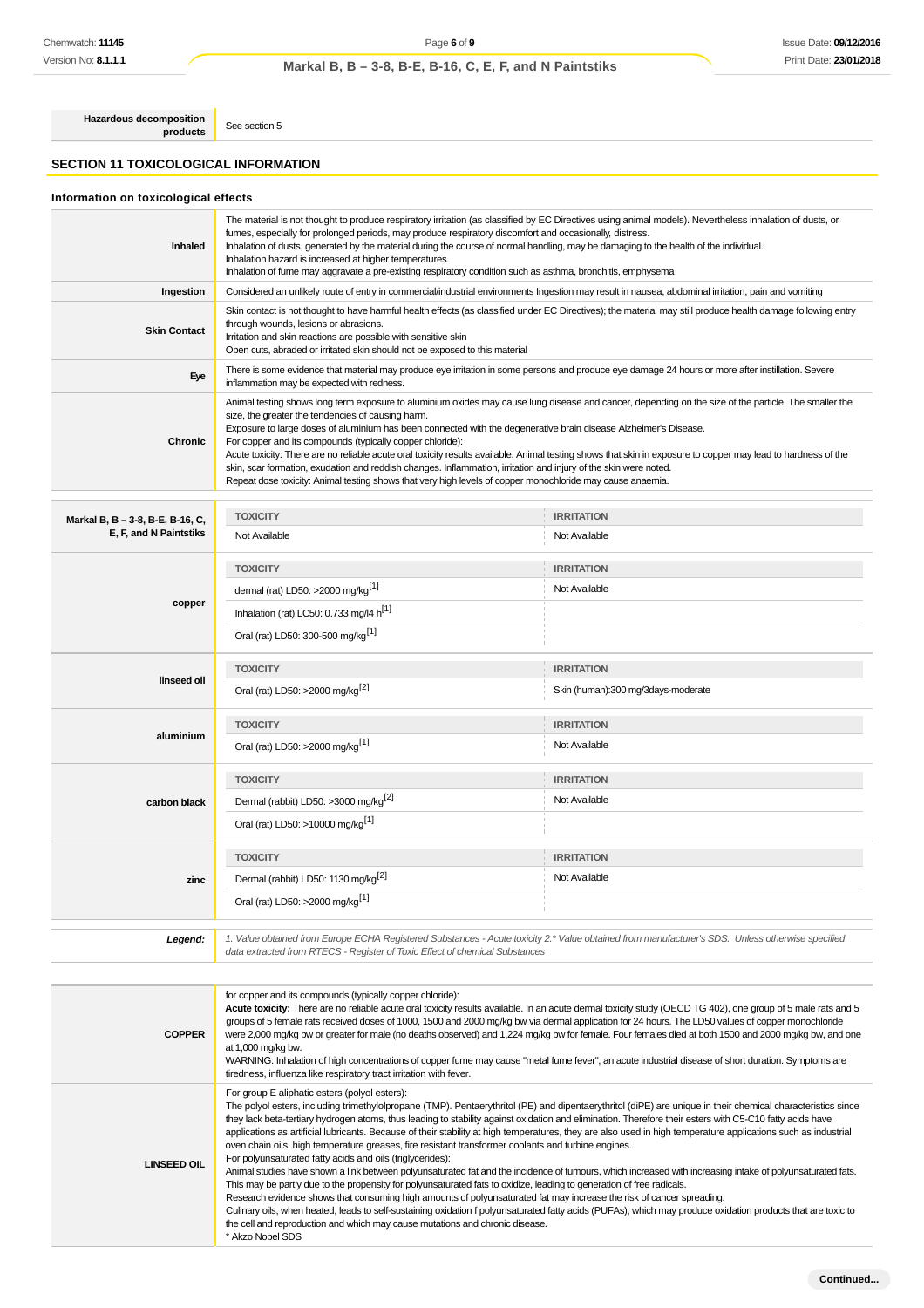**Hazardous decomposition**

# **SECTION 11 TOXICOLOGICAL INFORMATION**

See section 5

# **Information on toxicological effects**

| <b>Inhaled</b>                                             | The material is not thought to produce respiratory irritation (as classified by EC Directives using animal models). Nevertheless inhalation of dusts, or<br>fumes, especially for prolonged periods, may produce respiratory discomfort and occasionally, distress.<br>Inhalation of dusts, generated by the material during the course of normal handling, may be damaging to the health of the individual.<br>Inhalation hazard is increased at higher temperatures.<br>Inhalation of fume may aggravate a pre-existing respiratory condition such as asthma, bronchitis, emphysema                                                                                                                                                                                                                                                                                                                                                                                                                                                                                                                                                                                                                                                                                                                                                                                                                                                                                    |                                    |  |  |  |
|------------------------------------------------------------|--------------------------------------------------------------------------------------------------------------------------------------------------------------------------------------------------------------------------------------------------------------------------------------------------------------------------------------------------------------------------------------------------------------------------------------------------------------------------------------------------------------------------------------------------------------------------------------------------------------------------------------------------------------------------------------------------------------------------------------------------------------------------------------------------------------------------------------------------------------------------------------------------------------------------------------------------------------------------------------------------------------------------------------------------------------------------------------------------------------------------------------------------------------------------------------------------------------------------------------------------------------------------------------------------------------------------------------------------------------------------------------------------------------------------------------------------------------------------|------------------------------------|--|--|--|
| Ingestion                                                  | Considered an unlikely route of entry in commercial/industrial environments Ingestion may result in nausea, abdominal irritation, pain and vomiting                                                                                                                                                                                                                                                                                                                                                                                                                                                                                                                                                                                                                                                                                                                                                                                                                                                                                                                                                                                                                                                                                                                                                                                                                                                                                                                      |                                    |  |  |  |
| <b>Skin Contact</b>                                        | Skin contact is not thought to have harmful health effects (as classified under EC Directives); the material may still produce health damage following entry<br>through wounds, lesions or abrasions.<br>Irritation and skin reactions are possible with sensitive skin<br>Open cuts, abraded or irritated skin should not be exposed to this material                                                                                                                                                                                                                                                                                                                                                                                                                                                                                                                                                                                                                                                                                                                                                                                                                                                                                                                                                                                                                                                                                                                   |                                    |  |  |  |
| Eye                                                        | There is some evidence that material may produce eye irritation in some persons and produce eye damage 24 hours or more after instillation. Severe<br>inflammation may be expected with redness.                                                                                                                                                                                                                                                                                                                                                                                                                                                                                                                                                                                                                                                                                                                                                                                                                                                                                                                                                                                                                                                                                                                                                                                                                                                                         |                                    |  |  |  |
| <b>Chronic</b>                                             | Animal testing shows long term exposure to aluminium oxides may cause lung disease and cancer, depending on the size of the particle. The smaller the<br>size, the greater the tendencies of causing harm.<br>Exposure to large doses of aluminium has been connected with the degenerative brain disease Alzheimer's Disease.<br>For copper and its compounds (typically copper chloride):<br>Acute toxicity: There are no reliable acute oral toxicity results available. Animal testing shows that skin in exposure to copper may lead to hardness of the<br>skin, scar formation, exudation and reddish changes. Inflammation, irritation and injury of the skin were noted.<br>Repeat dose toxicity: Animal testing shows that very high levels of copper monochloride may cause anaemia.                                                                                                                                                                                                                                                                                                                                                                                                                                                                                                                                                                                                                                                                           |                                    |  |  |  |
|                                                            | <b>TOXICITY</b>                                                                                                                                                                                                                                                                                                                                                                                                                                                                                                                                                                                                                                                                                                                                                                                                                                                                                                                                                                                                                                                                                                                                                                                                                                                                                                                                                                                                                                                          | <b>IRRITATION</b>                  |  |  |  |
| Markal B, B - 3-8, B-E, B-16, C,<br>E, F, and N Paintstiks | Not Available                                                                                                                                                                                                                                                                                                                                                                                                                                                                                                                                                                                                                                                                                                                                                                                                                                                                                                                                                                                                                                                                                                                                                                                                                                                                                                                                                                                                                                                            | Not Available                      |  |  |  |
| copper                                                     | <b>TOXICITY</b><br>dermal (rat) LD50: >2000 mg/kg <sup>[1]</sup>                                                                                                                                                                                                                                                                                                                                                                                                                                                                                                                                                                                                                                                                                                                                                                                                                                                                                                                                                                                                                                                                                                                                                                                                                                                                                                                                                                                                         | <b>IRRITATION</b><br>Not Available |  |  |  |
|                                                            | Inhalation (rat) LC50: 0.733 mg/l4 $h^{[1]}$<br>Oral (rat) LD50: 300-500 mg/kg <sup>[1]</sup>                                                                                                                                                                                                                                                                                                                                                                                                                                                                                                                                                                                                                                                                                                                                                                                                                                                                                                                                                                                                                                                                                                                                                                                                                                                                                                                                                                            |                                    |  |  |  |
| linseed oil                                                | <b>TOXICITY</b><br><b>IRRITATION</b><br>Oral (rat) LD50: >2000 mg/kg <sup>[2]</sup><br>Skin (human):300 mg/3days-moderate                                                                                                                                                                                                                                                                                                                                                                                                                                                                                                                                                                                                                                                                                                                                                                                                                                                                                                                                                                                                                                                                                                                                                                                                                                                                                                                                                |                                    |  |  |  |
| aluminium                                                  | <b>TOXICITY</b><br><b>IRRITATION</b><br>Oral (rat) LD50: >2000 mg/kg <sup>[1]</sup><br>Not Available                                                                                                                                                                                                                                                                                                                                                                                                                                                                                                                                                                                                                                                                                                                                                                                                                                                                                                                                                                                                                                                                                                                                                                                                                                                                                                                                                                     |                                    |  |  |  |
| carbon black                                               | <b>TOXICITY</b><br>Dermal (rabbit) LD50: >3000 mg/kg <sup>[2]</sup><br>Oral (rat) LD50: >10000 mg/kg <sup>[1]</sup>                                                                                                                                                                                                                                                                                                                                                                                                                                                                                                                                                                                                                                                                                                                                                                                                                                                                                                                                                                                                                                                                                                                                                                                                                                                                                                                                                      | <b>IRRITATION</b><br>Not Available |  |  |  |
| zinc                                                       | <b>TOXICITY</b><br>Dermal (rabbit) LD50: 1130 mg/kg <sup>[2]</sup><br>Oral (rat) LD50: >2000 mg/kg <sup>[1]</sup>                                                                                                                                                                                                                                                                                                                                                                                                                                                                                                                                                                                                                                                                                                                                                                                                                                                                                                                                                                                                                                                                                                                                                                                                                                                                                                                                                        | <b>IRRITATION</b><br>Not Available |  |  |  |
| Legend:                                                    | 1. Value obtained from Europe ECHA Registered Substances - Acute toxicity 2.* Value obtained from manufacturer's SDS. Unless otherwise specified<br>data extracted from RTECS - Register of Toxic Effect of chemical Substances                                                                                                                                                                                                                                                                                                                                                                                                                                                                                                                                                                                                                                                                                                                                                                                                                                                                                                                                                                                                                                                                                                                                                                                                                                          |                                    |  |  |  |
|                                                            |                                                                                                                                                                                                                                                                                                                                                                                                                                                                                                                                                                                                                                                                                                                                                                                                                                                                                                                                                                                                                                                                                                                                                                                                                                                                                                                                                                                                                                                                          |                                    |  |  |  |
| <b>COPPER</b>                                              | for copper and its compounds (typically copper chloride):<br>Acute toxicity: There are no reliable acute oral toxicity results available. In an acute dermal toxicity study (OECD TG 402), one group of 5 male rats and 5<br>groups of 5 female rats received doses of 1000, 1500 and 2000 mg/kg bw via dermal application for 24 hours. The LD50 values of copper monochloride<br>were 2,000 mg/kg bw or greater for male (no deaths observed) and 1,224 mg/kg bw for female. Four females died at both 1500 and 2000 mg/kg bw, and one<br>at 1,000 mg/kg bw.<br>WARNING: Inhalation of high concentrations of copper fume may cause "metal fume fever", an acute industrial disease of short duration. Symptoms are                                                                                                                                                                                                                                                                                                                                                                                                                                                                                                                                                                                                                                                                                                                                                    |                                    |  |  |  |
| <b>LINSEED OIL</b>                                         | tiredness, influenza like respiratory tract irritation with fever.<br>For group E aliphatic esters (polyol esters):<br>The polyol esters, including trimethylolpropane (TMP). Pentaerythritol (PE) and dipentaerythritol (diPE) are unique in their chemical characteristics since<br>they lack beta-tertiary hydrogen atoms, thus leading to stability against oxidation and elimination. Therefore their esters with C5-C10 fatty acids have<br>applications as artificial lubricants. Because of their stability at high temperatures, they are also used in high temperature applications such as industrial<br>oven chain oils, high temperature greases, fire resistant transformer coolants and turbine engines.<br>For polyunsaturated fatty acids and oils (triglycerides):<br>Animal studies have shown a link between polyunsaturated fat and the incidence of tumours, which increased with increasing intake of polyunsaturated fats.<br>This may be partly due to the propensity for polyunsaturated fats to oxidize, leading to generation of free radicals.<br>Research evidence shows that consuming high amounts of polyunsaturated fat may increase the risk of cancer spreading.<br>Culinary oils, when heated, leads to self-sustaining oxidation f polyunsaturated fatty acids (PUFAs), which may produce oxidation products that are toxic to<br>the cell and reproduction and which may cause mutations and chronic disease.<br>* Akzo Nobel SDS |                                    |  |  |  |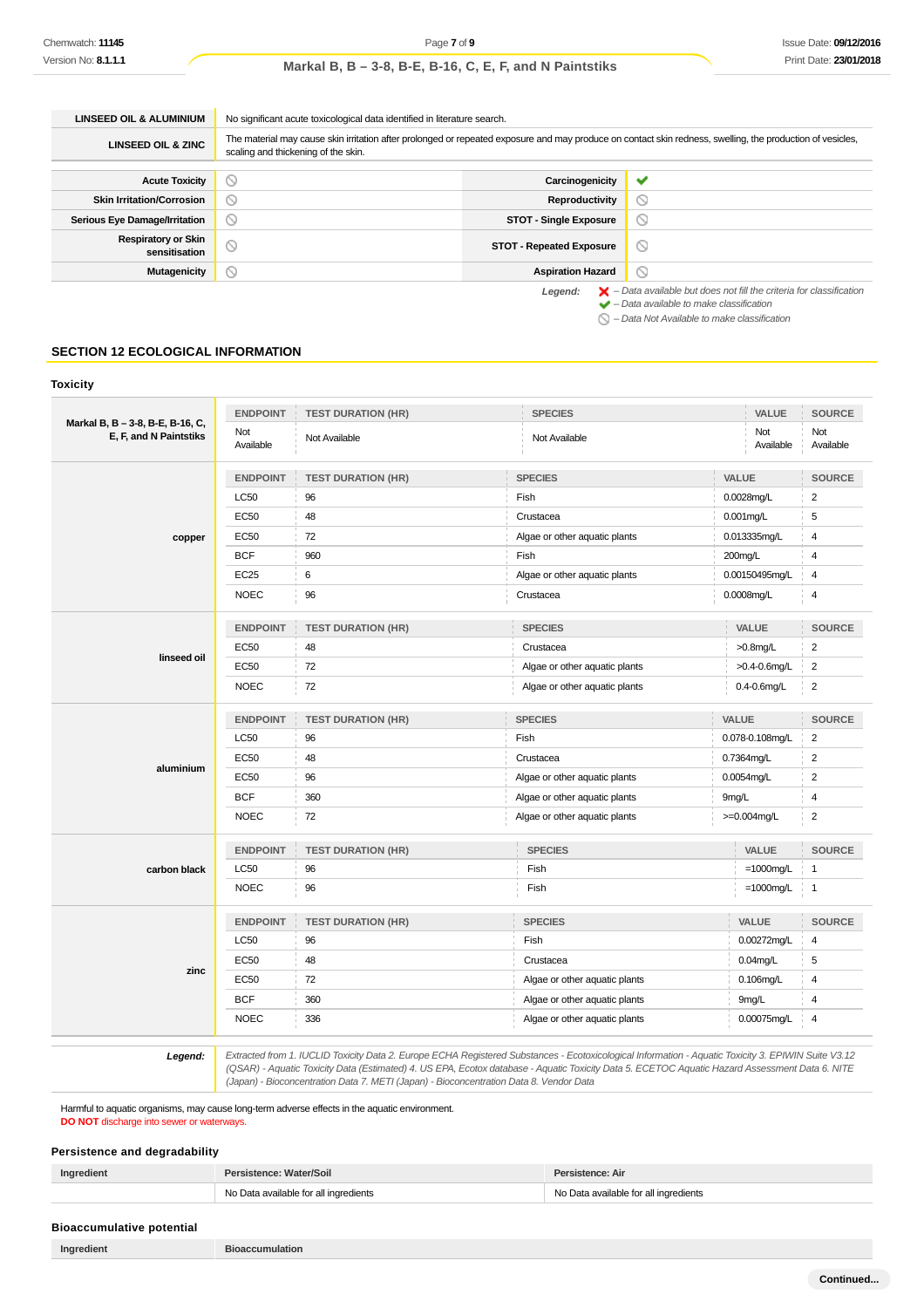| <b>LINSEED OIL &amp; ALUMINIUM</b>          | No significant acute toxicological data identified in literature search.                                                                                                                          |                                 |                                                                                                                                                           |  |  |
|---------------------------------------------|---------------------------------------------------------------------------------------------------------------------------------------------------------------------------------------------------|---------------------------------|-----------------------------------------------------------------------------------------------------------------------------------------------------------|--|--|
| <b>LINSEED OIL &amp; ZINC</b>               | The material may cause skin irritation after prolonged or repeated exposure and may produce on contact skin redness, swelling, the production of vesicles,<br>scaling and thickening of the skin. |                                 |                                                                                                                                                           |  |  |
|                                             |                                                                                                                                                                                                   |                                 |                                                                                                                                                           |  |  |
| <b>Acute Toxicity</b>                       | $\circ$                                                                                                                                                                                           | Carcinogenicity                 | $\checkmark$                                                                                                                                              |  |  |
| <b>Skin Irritation/Corrosion</b>            | ◙                                                                                                                                                                                                 | Reproductivity                  | O                                                                                                                                                         |  |  |
| Serious Eye Damage/Irritation               | $\circ$                                                                                                                                                                                           | <b>STOT - Single Exposure</b>   | $\circ$                                                                                                                                                   |  |  |
| <b>Respiratory or Skin</b><br>sensitisation | $\odot$                                                                                                                                                                                           | <b>STOT - Repeated Exposure</b> | O                                                                                                                                                         |  |  |
| Mutagenicity                                | $\circledcirc$                                                                                                                                                                                    | <b>Aspiration Hazard</b>        | ◎                                                                                                                                                         |  |  |
|                                             |                                                                                                                                                                                                   | Legend:                         | $\blacktriangleright$ - Data available but does not fill the criteria for classification<br>$\blacktriangleright$ - Data available to make classification |  |  |

 $\bigcirc$  – Data Not Available to make classification

# **SECTION 12 ECOLOGICAL INFORMATION**

### **Toxicity**

|                                                            | <b>ENDPOINT</b>                       | <b>TEST DURATION (HR)</b>                                           | <b>SPECIES</b>                                         | VALUE                                                                                                                                                                                                                                                                                                                                                       | <b>SOURCE</b>    |
|------------------------------------------------------------|---------------------------------------|---------------------------------------------------------------------|--------------------------------------------------------|-------------------------------------------------------------------------------------------------------------------------------------------------------------------------------------------------------------------------------------------------------------------------------------------------------------------------------------------------------------|------------------|
| Markal B, B - 3-8, B-E, B-16, C,<br>E, F, and N Paintstiks | Not<br>Available                      | Not Available                                                       | Not Available                                          | Not<br>Available                                                                                                                                                                                                                                                                                                                                            | Not<br>Available |
|                                                            | <b>ENDPOINT</b>                       | <b>TEST DURATION (HR)</b>                                           | <b>SPECIES</b>                                         | VALUE                                                                                                                                                                                                                                                                                                                                                       | <b>SOURCE</b>    |
|                                                            | <b>LC50</b>                           | 96                                                                  | Fish                                                   | 0.0028mg/L                                                                                                                                                                                                                                                                                                                                                  | $\overline{2}$   |
|                                                            | <b>EC50</b>                           | 48                                                                  | Crustacea                                              | $0.001$ mg/L                                                                                                                                                                                                                                                                                                                                                | 5                |
| copper                                                     | <b>EC50</b>                           | 72                                                                  | Algae or other aquatic plants                          | 0.013335mg/L                                                                                                                                                                                                                                                                                                                                                | $\overline{4}$   |
|                                                            | <b>BCF</b>                            | 960                                                                 | Fish                                                   | 200mg/L                                                                                                                                                                                                                                                                                                                                                     | $\overline{4}$   |
|                                                            | <b>EC25</b>                           | 6                                                                   | Algae or other aquatic plants                          | 0.00150495mg/L                                                                                                                                                                                                                                                                                                                                              | 4                |
|                                                            | <b>NOEC</b>                           | 96                                                                  | Crustacea                                              | 0.0008mg/L                                                                                                                                                                                                                                                                                                                                                  | $\overline{4}$   |
|                                                            | <b>ENDPOINT</b>                       | <b>TEST DURATION (HR)</b>                                           | <b>SPECIES</b>                                         | VALUE                                                                                                                                                                                                                                                                                                                                                       | <b>SOURCE</b>    |
| linseed oil                                                | <b>EC50</b>                           | 48                                                                  | Crustacea                                              | $>0.8$ mg/L                                                                                                                                                                                                                                                                                                                                                 | $\overline{2}$   |
|                                                            | <b>EC50</b>                           | 72                                                                  | Algae or other aquatic plants                          | $>0.4 - 0.6$ mg/L                                                                                                                                                                                                                                                                                                                                           | $\overline{2}$   |
|                                                            | <b>NOEC</b>                           | 72                                                                  | Algae or other aquatic plants                          | $0.4 - 0.6$ mg/L                                                                                                                                                                                                                                                                                                                                            | $\overline{2}$   |
|                                                            | <b>ENDPOINT</b>                       | <b>TEST DURATION (HR)</b>                                           | <b>SPECIES</b>                                         | VALUE                                                                                                                                                                                                                                                                                                                                                       | <b>SOURCE</b>    |
|                                                            | <b>LC50</b>                           | 96                                                                  | Fish                                                   | 0.078-0.108mg/L                                                                                                                                                                                                                                                                                                                                             | $\sqrt{2}$       |
|                                                            | <b>EC50</b>                           | 48                                                                  | Crustacea                                              | 0.7364mg/L                                                                                                                                                                                                                                                                                                                                                  | $\overline{2}$   |
| aluminium                                                  | <b>EC50</b>                           | 96                                                                  | Algae or other aquatic plants                          | 0.0054mg/L                                                                                                                                                                                                                                                                                                                                                  | $\overline{2}$   |
|                                                            | <b>BCF</b>                            | 360                                                                 | Algae or other aquatic plants<br>9mg/L                 |                                                                                                                                                                                                                                                                                                                                                             | $\overline{4}$   |
|                                                            | <b>NOEC</b>                           | 72                                                                  | Algae or other aquatic plants                          | $>=0.004$ mg/L                                                                                                                                                                                                                                                                                                                                              | $\sqrt{2}$       |
|                                                            | <b>ENDPOINT</b>                       | <b>TEST DURATION (HR)</b>                                           | <b>SPECIES</b>                                         | VALUE                                                                                                                                                                                                                                                                                                                                                       | <b>SOURCE</b>    |
| carbon black                                               | <b>LC50</b>                           | 96                                                                  | Fish                                                   | $=1000$ mg/L                                                                                                                                                                                                                                                                                                                                                | $\overline{1}$   |
|                                                            | <b>NOEC</b>                           | 96                                                                  | Fish                                                   | $=1000$ mg/L                                                                                                                                                                                                                                                                                                                                                | i 1              |
|                                                            | <b>ENDPOINT</b>                       | <b>TEST DURATION (HR)</b>                                           | <b>SPECIES</b>                                         | VALUE                                                                                                                                                                                                                                                                                                                                                       | SOURCE           |
|                                                            | <b>LC50</b>                           | 96                                                                  | Fish                                                   | 0.00272mg/L                                                                                                                                                                                                                                                                                                                                                 | $\overline{4}$   |
|                                                            | <b>EC50</b>                           | 48                                                                  | Crustacea                                              | $0.04$ mg/L                                                                                                                                                                                                                                                                                                                                                 | 5                |
| zinc                                                       | <b>EC50</b>                           | 72                                                                  | Algae or other aquatic plants                          | $0.106$ mg/L                                                                                                                                                                                                                                                                                                                                                | $\overline{4}$   |
|                                                            | <b>BCF</b>                            | 360                                                                 | Algae or other aquatic plants                          | 9mg/L                                                                                                                                                                                                                                                                                                                                                       | $\overline{4}$   |
|                                                            | <b>NOEC</b>                           | 336                                                                 | Algae or other aquatic plants                          | 0.00075mg/L                                                                                                                                                                                                                                                                                                                                                 | $\overline{4}$   |
|                                                            | $\Gamma$ is a discovered and $\Gamma$ | $A$ $B$ $D$ $D$ $T_1$ , $T_2$ , $T_3$ , $D_2$ $T_3$ $D_3$<br>TCIIBR | $\Gamma$ and an integral and an integral that $\Gamma$ | $\mathcal{L}$ $\mathcal{L}$ $\mathcal{L}$ $\mathcal{L}$ $\mathcal{L}$ $\mathcal{L}$ $\mathcal{L}$ $\mathcal{L}$ $\mathcal{L}$ $\mathcal{L}$ $\mathcal{L}$ $\mathcal{L}$ $\mathcal{L}$ $\mathcal{L}$ $\mathcal{L}$ $\mathcal{L}$ $\mathcal{L}$ $\mathcal{L}$ $\mathcal{L}$ $\mathcal{L}$ $\mathcal{L}$ $\mathcal{L}$ $\mathcal{L}$ $\mathcal{L}$ $\mathcal{$ |                  |

Extracted from 1. IUCLID Toxicity Data 2. Europe ECHA Registered Substances - Ecotoxicological Information - Aquatic Toxicity 3. EPIWIN Suite V3.12<br>QSAR) - Aquatic Toxicity Data (Estimated) 4. US EPA, Ecotox database - Aqu (Japan) - Bioconcentration Data 7. METI (Japan) - Bioconcentration Data 8. Vendor Data

Harmful to aquatic organisms, may cause long-term adverse effects in the aquatic environment. **DO NOT** discharge into sewer or waterways.

# **Persistence and degradability**

| Ingredient                       | Persistence: Water/Soil               | Persistence: Air                      |
|----------------------------------|---------------------------------------|---------------------------------------|
|                                  | No Data available for all ingredients | No Data available for all ingredients |
| <b>Bioaccumulative potential</b> |                                       |                                       |
| Ingredient                       | <b>Bioaccumulation</b>                |                                       |

**Continued...**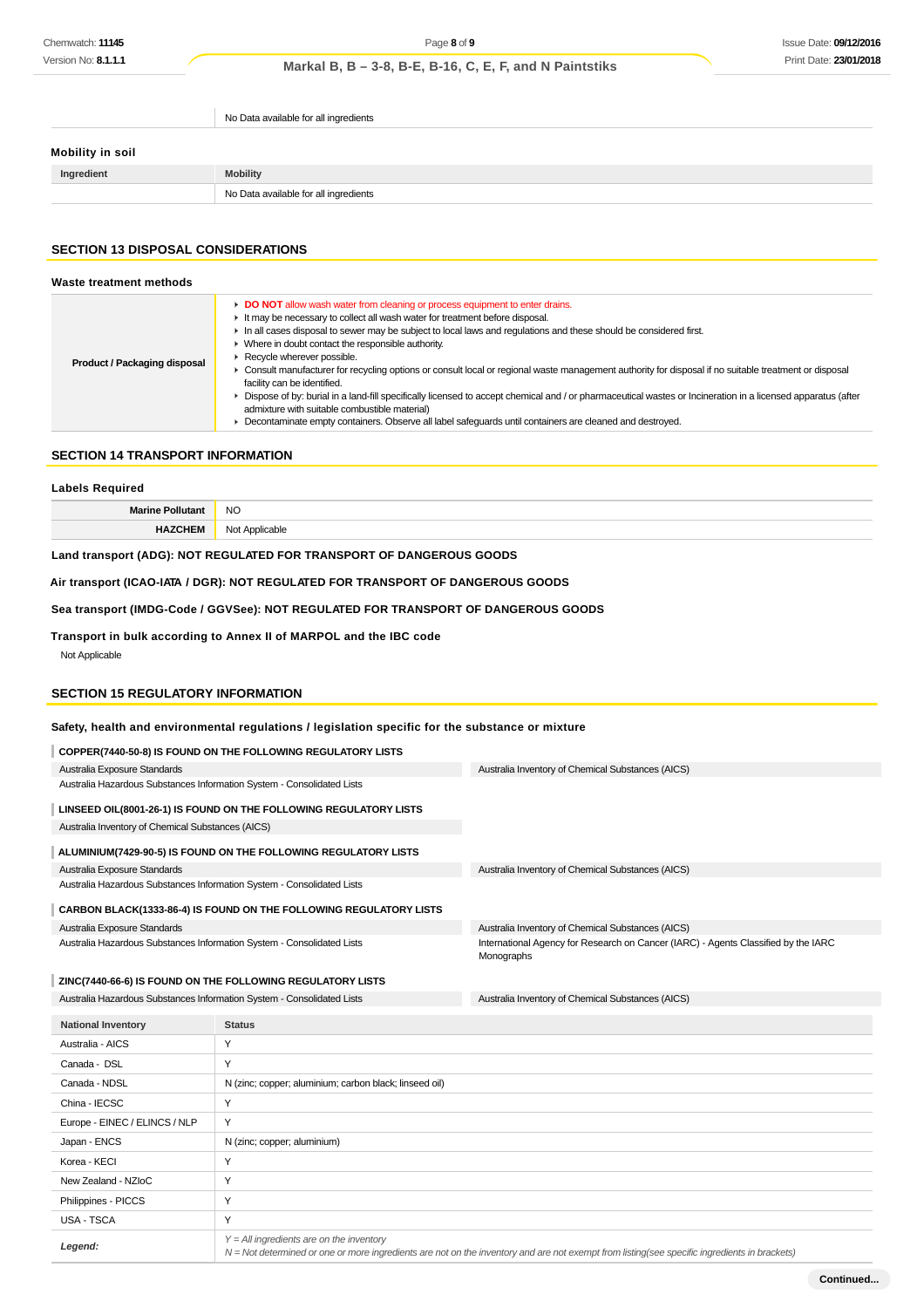No Data available for all ingredients

# **Mobility in soil**

| Ingredient | <b>Mobility</b>                       |
|------------|---------------------------------------|
|            | No Data available for all ingredients |
|            |                                       |

# **SECTION 13 DISPOSAL CONSIDERATIONS**

| Waste treatment methods      |                                                                                                                                                                                                                                                                                                                                                                                                                                                                                                                                                                                                                                                                                                                                                                                                                                                                                                                    |
|------------------------------|--------------------------------------------------------------------------------------------------------------------------------------------------------------------------------------------------------------------------------------------------------------------------------------------------------------------------------------------------------------------------------------------------------------------------------------------------------------------------------------------------------------------------------------------------------------------------------------------------------------------------------------------------------------------------------------------------------------------------------------------------------------------------------------------------------------------------------------------------------------------------------------------------------------------|
| Product / Packaging disposal | • DO NOT allow wash water from cleaning or process equipment to enter drains.<br>It may be necessary to collect all wash water for treatment before disposal.<br>In all cases disposal to sewer may be subject to local laws and regulations and these should be considered first.<br>► Where in doubt contact the responsible authority.<br>Recycle wherever possible.<br>► Consult manufacturer for recycling options or consult local or regional waste management authority for disposal if no suitable treatment or disposal<br>facility can be identified.<br>$\blacktriangleright$ Dispose of by: burial in a land-fill specifically licensed to accept chemical and / or pharmaceutical wastes or Incineration in a licensed apparatus (after<br>admixture with suitable combustible material)<br>Decontaminate empty containers. Observe all label safeguards until containers are cleaned and destroyed. |

# **SECTION 14 TRANSPORT INFORMATION**

| <b>Labels Required</b>                                                             |                |  |
|------------------------------------------------------------------------------------|----------------|--|
| <b>Marine Pollutant</b>                                                            | NO.            |  |
| <b>HAZCHEM</b>                                                                     | Not Applicable |  |
| Land transport (ADG): NOT REGULATED FOR TRANSPORT OF DANGEROUS GOODS               |                |  |
| Air transport (ICAO-IATA / DGR): NOT REGULATED FOR TRANSPORT OF DANGEROUS GOODS    |                |  |
| Sea transport (IMDG-Code / GGVSee): NOT REGULATED FOR TRANSPORT OF DANGEROUS GOODS |                |  |

**Transport in bulk according to Annex II of MARPOL and the IBC code** Not Applicable

# **SECTION 15 REGULATORY INFORMATION**

**Legend:**

# **Safety, health and environmental regulations / legislation specific for the substance or mixture**

|                                                                                                                                      | COPPER(7440-50-8) IS FOUND ON THE FOLLOWING REGULATORY LISTS       |                                                                                                  |  |
|--------------------------------------------------------------------------------------------------------------------------------------|--------------------------------------------------------------------|--------------------------------------------------------------------------------------------------|--|
| Australia Exposure Standards                                                                                                         |                                                                    | Australia Inventory of Chemical Substances (AICS)                                                |  |
| Australia Hazardous Substances Information System - Consolidated Lists                                                               |                                                                    |                                                                                                  |  |
|                                                                                                                                      | LINSEED OIL(8001-26-1) IS FOUND ON THE FOLLOWING REGULATORY LISTS  |                                                                                                  |  |
| Australia Inventory of Chemical Substances (AICS)                                                                                    |                                                                    |                                                                                                  |  |
|                                                                                                                                      | ALUMINIUM(7429-90-5) IS FOUND ON THE FOLLOWING REGULATORY LISTS    |                                                                                                  |  |
| Australia Exposure Standards                                                                                                         |                                                                    | Australia Inventory of Chemical Substances (AICS)                                                |  |
| Australia Hazardous Substances Information System - Consolidated Lists                                                               |                                                                    |                                                                                                  |  |
|                                                                                                                                      | CARBON BLACK(1333-86-4) IS FOUND ON THE FOLLOWING REGULATORY LISTS |                                                                                                  |  |
| Australia Exposure Standards                                                                                                         |                                                                    | Australia Inventory of Chemical Substances (AICS)                                                |  |
| Australia Hazardous Substances Information System - Consolidated Lists                                                               |                                                                    | International Agency for Research on Cancer (IARC) - Agents Classified by the IARC<br>Monographs |  |
|                                                                                                                                      |                                                                    |                                                                                                  |  |
| ZINC(7440-66-6) IS FOUND ON THE FOLLOWING REGULATORY LISTS<br>Australia Hazardous Substances Information System - Consolidated Lists |                                                                    | Australia Inventory of Chemical Substances (AICS)                                                |  |
|                                                                                                                                      |                                                                    |                                                                                                  |  |
|                                                                                                                                      |                                                                    |                                                                                                  |  |
| <b>National Inventory</b>                                                                                                            | <b>Status</b>                                                      |                                                                                                  |  |
| Australia - AICS                                                                                                                     | Y                                                                  |                                                                                                  |  |
| Canada - DSL                                                                                                                         | Y                                                                  |                                                                                                  |  |
| Canada - NDSL                                                                                                                        | N (zinc; copper; aluminium; carbon black; linseed oil)             |                                                                                                  |  |
| China - IECSC                                                                                                                        | Υ                                                                  |                                                                                                  |  |
| Europe - EINEC / ELINCS / NLP                                                                                                        | Y                                                                  |                                                                                                  |  |
| Japan - ENCS                                                                                                                         | N (zinc; copper; aluminium)                                        |                                                                                                  |  |
| Korea - KECI                                                                                                                         | Y                                                                  |                                                                                                  |  |
| New Zealand - NZloC                                                                                                                  | Υ                                                                  |                                                                                                  |  |
| Philippines - PICCS                                                                                                                  | Y                                                                  |                                                                                                  |  |
| <b>USA - TSCA</b>                                                                                                                    | Y                                                                  |                                                                                                  |  |

N = Not determined or one or more ingredients are not on the inventory and are not exempt from listing(see specific ingredients in brackets)